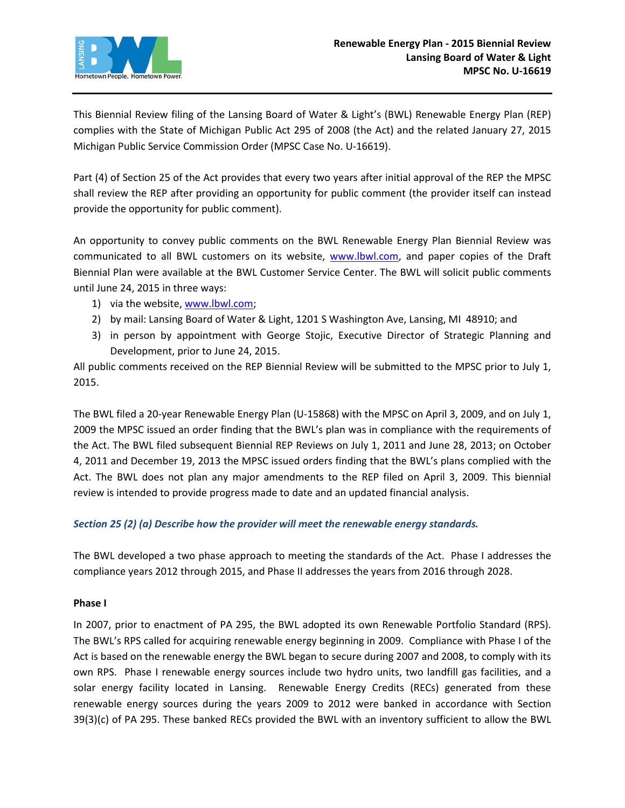

This Biennial Review filing of the Lansing Board of Water & Light's (BWL) Renewable Energy Plan (REP) complies with the State of Michigan Public Act 295 of 2008 (the Act) and the related January 27, 2015 Michigan Public Service Commission Order (MPSC Case No. U-16619).

Part (4) of Section 25 of the Act provides that every two years after initial approval of the REP the MPSC shall review the REP after providing an opportunity for public comment (the provider itself can instead provide the opportunity for public comment).

An opportunity to convey public comments on the BWL Renewable Energy Plan Biennial Review was communicated to all BWL customers on its website, [www.lbwl.com,](http://www.lbwl.com/) and paper copies of the Draft Biennial Plan were available at the BWL Customer Service Center. The BWL will solicit public comments until June 24, 2015 in three ways:

- 1) via the website, [www.lbwl.com;](http://www.lbwl.com/)
- 2) by mail: Lansing Board of Water & Light, 1201 S Washington Ave, Lansing, MI 48910; and
- 3) in person by appointment with George Stojic, Executive Director of Strategic Planning and Development, prior to June 24, 2015.

All public comments received on the REP Biennial Review will be submitted to the MPSC prior to July 1, 2015.

The BWL filed a 20-year Renewable Energy Plan (U-15868) with the MPSC on April 3, 2009, and on July 1, 2009 the MPSC issued an order finding that the BWL's plan was in compliance with the requirements of the Act. The BWL filed subsequent Biennial REP Reviews on July 1, 2011 and June 28, 2013; on October 4, 2011 and December 19, 2013 the MPSC issued orders finding that the BWL's plans complied with the Act. The BWL does not plan any major amendments to the REP filed on April 3, 2009. This biennial review is intended to provide progress made to date and an updated financial analysis.

# *Section 25 (2) (a) Describe how the provider will meet the renewable energy standards.*

The BWL developed a two phase approach to meeting the standards of the Act. Phase I addresses the compliance years 2012 through 2015, and Phase II addresses the years from 2016 through 2028.

# **Phase I**

In 2007, prior to enactment of PA 295, the BWL adopted its own Renewable Portfolio Standard (RPS). The BWL's RPS called for acquiring renewable energy beginning in 2009. Compliance with Phase I of the Act is based on the renewable energy the BWL began to secure during 2007 and 2008, to comply with its own RPS. Phase I renewable energy sources include two hydro units, two landfill gas facilities, and a solar energy facility located in Lansing. Renewable Energy Credits (RECs) generated from these renewable energy sources during the years 2009 to 2012 were banked in accordance with Section 39(3)(c) of PA 295. These banked RECs provided the BWL with an inventory sufficient to allow the BWL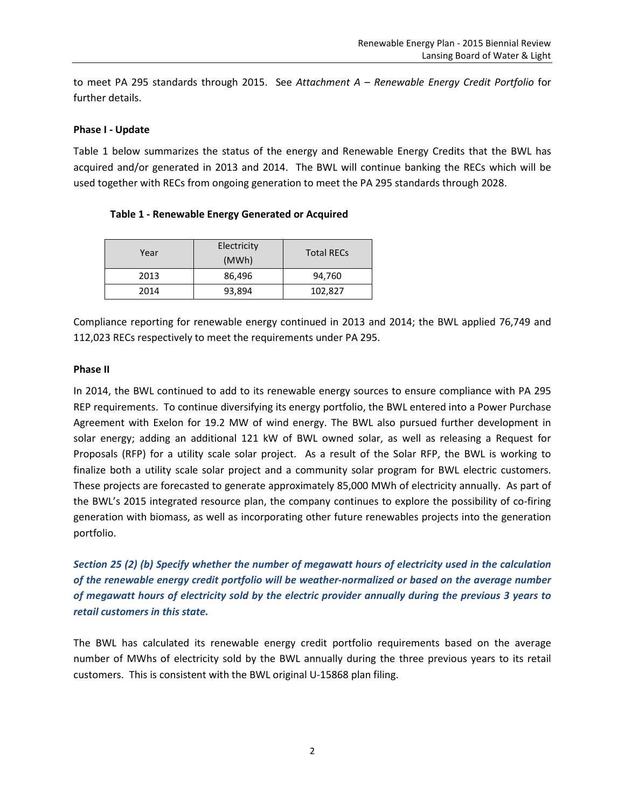to meet PA 295 standards through 2015. See *Attachment A – Renewable Energy Credit Portfolio* for further details.

# **Phase I - Update**

Table 1 below summarizes the status of the energy and Renewable Energy Credits that the BWL has acquired and/or generated in 2013 and 2014. The BWL will continue banking the RECs which will be used together with RECs from ongoing generation to meet the PA 295 standards through 2028.

| Year | Electricity<br>(MWh) | <b>Total RECs</b> |
|------|----------------------|-------------------|
| 2013 | 86,496               | 94,760            |
| 2014 | 93,894               | 102,827           |

Compliance reporting for renewable energy continued in 2013 and 2014; the BWL applied 76,749 and 112,023 RECs respectively to meet the requirements under PA 295.

# **Phase II**

In 2014, the BWL continued to add to its renewable energy sources to ensure compliance with PA 295 REP requirements. To continue diversifying its energy portfolio, the BWL entered into a Power Purchase Agreement with Exelon for 19.2 MW of wind energy. The BWL also pursued further development in solar energy; adding an additional 121 kW of BWL owned solar, as well as releasing a Request for Proposals (RFP) for a utility scale solar project. As a result of the Solar RFP, the BWL is working to finalize both a utility scale solar project and a community solar program for BWL electric customers. These projects are forecasted to generate approximately 85,000 MWh of electricity annually. As part of the BWL's 2015 integrated resource plan, the company continues to explore the possibility of co-firing generation with biomass, as well as incorporating other future renewables projects into the generation portfolio.

*Section 25 (2) (b) Specify whether the number of megawatt hours of electricity used in the calculation of the renewable energy credit portfolio will be weather-normalized or based on the average number of megawatt hours of electricity sold by the electric provider annually during the previous 3 years to retail customers in this state.* 

The BWL has calculated its renewable energy credit portfolio requirements based on the average number of MWhs of electricity sold by the BWL annually during the three previous years to its retail customers. This is consistent with the BWL original U-15868 plan filing.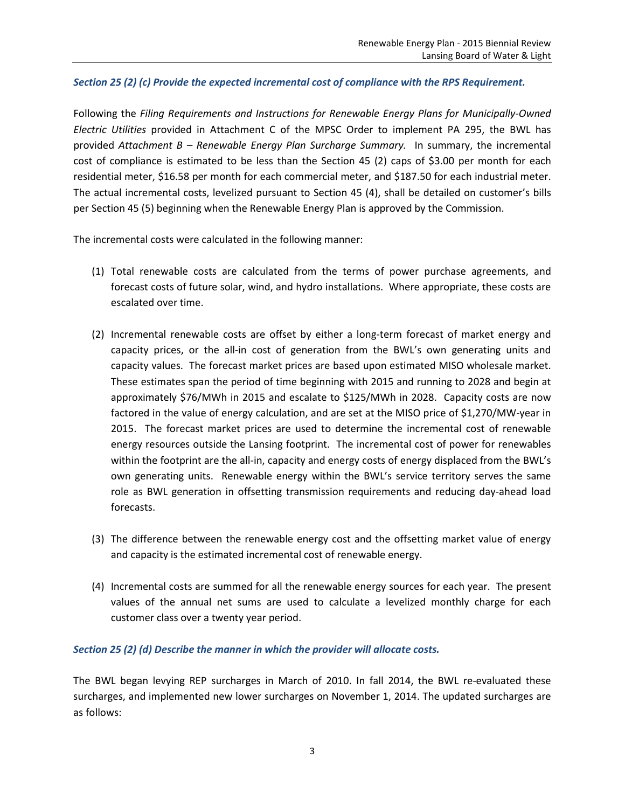# *Section 25 (2) (c) Provide the expected incremental cost of compliance with the RPS Requirement.*

Following the *Filing Requirements and Instructions for Renewable Energy Plans for Municipally-Owned Electric Utilities* provided in Attachment C of the MPSC Order to implement PA 295, the BWL has provided *Attachment B – Renewable Energy Plan Surcharge Summary.* In summary, the incremental cost of compliance is estimated to be less than the Section 45 (2) caps of \$3.00 per month for each residential meter, \$16.58 per month for each commercial meter, and \$187.50 for each industrial meter. The actual incremental costs, levelized pursuant to Section 45 (4), shall be detailed on customer's bills per Section 45 (5) beginning when the Renewable Energy Plan is approved by the Commission.

The incremental costs were calculated in the following manner:

- (1) Total renewable costs are calculated from the terms of power purchase agreements, and forecast costs of future solar, wind, and hydro installations. Where appropriate, these costs are escalated over time.
- (2) Incremental renewable costs are offset by either a long-term forecast of market energy and capacity prices, or the all-in cost of generation from the BWL's own generating units and capacity values. The forecast market prices are based upon estimated MISO wholesale market. These estimates span the period of time beginning with 2015 and running to 2028 and begin at approximately \$76/MWh in 2015 and escalate to \$125/MWh in 2028. Capacity costs are now factored in the value of energy calculation, and are set at the MISO price of \$1,270/MW-year in 2015. The forecast market prices are used to determine the incremental cost of renewable energy resources outside the Lansing footprint. The incremental cost of power for renewables within the footprint are the all-in, capacity and energy costs of energy displaced from the BWL's own generating units. Renewable energy within the BWL's service territory serves the same role as BWL generation in offsetting transmission requirements and reducing day-ahead load forecasts.
- (3) The difference between the renewable energy cost and the offsetting market value of energy and capacity is the estimated incremental cost of renewable energy.
- (4) Incremental costs are summed for all the renewable energy sources for each year. The present values of the annual net sums are used to calculate a levelized monthly charge for each customer class over a twenty year period.

# *Section 25 (2) (d) Describe the manner in which the provider will allocate costs.*

The BWL began levying REP surcharges in March of 2010. In fall 2014, the BWL re-evaluated these surcharges, and implemented new lower surcharges on November 1, 2014. The updated surcharges are as follows: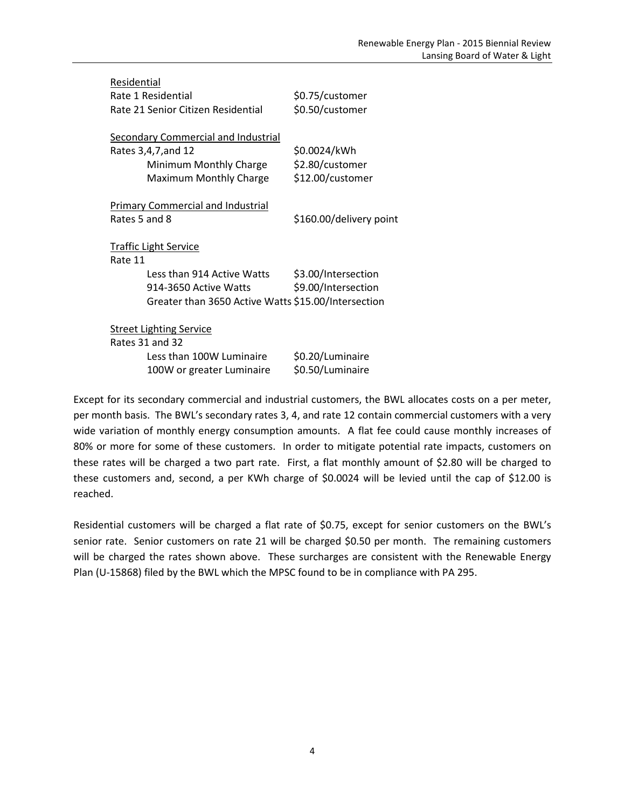| Residential                                         |                         |  |  |  |  |  |  |
|-----------------------------------------------------|-------------------------|--|--|--|--|--|--|
| Rate 1 Residential                                  | \$0.75/customer         |  |  |  |  |  |  |
| Rate 21 Senior Citizen Residential                  | \$0.50/customer         |  |  |  |  |  |  |
|                                                     |                         |  |  |  |  |  |  |
| <b>Secondary Commercial and Industrial</b>          |                         |  |  |  |  |  |  |
| Rates 3,4,7, and 12                                 | \$0.0024/kWh            |  |  |  |  |  |  |
| Minimum Monthly Charge                              | \$2.80/customer         |  |  |  |  |  |  |
| Maximum Monthly Charge                              | \$12.00/customer        |  |  |  |  |  |  |
|                                                     |                         |  |  |  |  |  |  |
| <b>Primary Commercial and Industrial</b>            |                         |  |  |  |  |  |  |
| Rates 5 and 8                                       | \$160.00/delivery point |  |  |  |  |  |  |
|                                                     |                         |  |  |  |  |  |  |
| <b>Traffic Light Service</b>                        |                         |  |  |  |  |  |  |
| Rate 11                                             |                         |  |  |  |  |  |  |
| Less than 914 Active Watts                          | \$3.00/Intersection     |  |  |  |  |  |  |
| 914-3650 Active Watts                               | \$9.00/Intersection     |  |  |  |  |  |  |
| Greater than 3650 Active Watts \$15.00/Intersection |                         |  |  |  |  |  |  |
|                                                     |                         |  |  |  |  |  |  |
| <b>Street Lighting Service</b><br>Rates 31 and 32   |                         |  |  |  |  |  |  |
|                                                     |                         |  |  |  |  |  |  |
| Less than 100W Luminaire                            | \$0.20/Luminaire        |  |  |  |  |  |  |
| 100W or greater Luminaire                           | \$0.50/Luminaire        |  |  |  |  |  |  |

Except for its secondary commercial and industrial customers, the BWL allocates costs on a per meter, per month basis. The BWL's secondary rates 3, 4, and rate 12 contain commercial customers with a very wide variation of monthly energy consumption amounts. A flat fee could cause monthly increases of 80% or more for some of these customers. In order to mitigate potential rate impacts, customers on these rates will be charged a two part rate. First, a flat monthly amount of \$2.80 will be charged to these customers and, second, a per KWh charge of \$0.0024 will be levied until the cap of \$12.00 is reached.

Residential customers will be charged a flat rate of \$0.75, except for senior customers on the BWL's senior rate. Senior customers on rate 21 will be charged \$0.50 per month. The remaining customers will be charged the rates shown above. These surcharges are consistent with the Renewable Energy Plan (U-15868) filed by the BWL which the MPSC found to be in compliance with PA 295.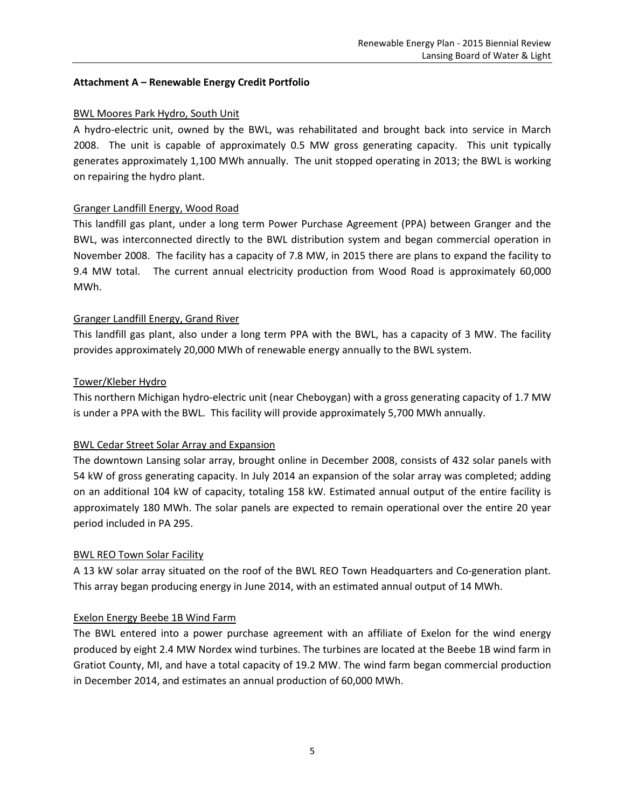# **Attachment A – Renewable Energy Credit Portfolio**

# BWL Moores Park Hydro, South Unit

A hydro-electric unit, owned by the BWL, was rehabilitated and brought back into service in March 2008. The unit is capable of approximately 0.5 MW gross generating capacity. This unit typically generates approximately 1,100 MWh annually. The unit stopped operating in 2013; the BWL is working on repairing the hydro plant.

# Granger Landfill Energy, Wood Road

This landfill gas plant, under a long term Power Purchase Agreement (PPA) between Granger and the BWL, was interconnected directly to the BWL distribution system and began commercial operation in November 2008. The facility has a capacity of 7.8 MW, in 2015 there are plans to expand the facility to 9.4 MW total. The current annual electricity production from Wood Road is approximately 60,000 MWh.

# Granger Landfill Energy, Grand River

This landfill gas plant, also under a long term PPA with the BWL, has a capacity of 3 MW. The facility provides approximately 20,000 MWh of renewable energy annually to the BWL system.

# Tower/Kleber Hydro

This northern Michigan hydro-electric unit (near Cheboygan) with a gross generating capacity of 1.7 MW is under a PPA with the BWL. This facility will provide approximately 5,700 MWh annually.

# BWL Cedar Street Solar Array and Expansion

The downtown Lansing solar array, brought online in December 2008, consists of 432 solar panels with 54 kW of gross generating capacity. In July 2014 an expansion of the solar array was completed; adding on an additional 104 kW of capacity, totaling 158 kW. Estimated annual output of the entire facility is approximately 180 MWh. The solar panels are expected to remain operational over the entire 20 year period included in PA 295.

# BWL REO Town Solar Facility

A 13 kW solar array situated on the roof of the BWL REO Town Headquarters and Co-generation plant. This array began producing energy in June 2014, with an estimated annual output of 14 MWh.

# Exelon Energy Beebe 1B Wind Farm

The BWL entered into a power purchase agreement with an affiliate of Exelon for the wind energy produced by eight 2.4 MW Nordex wind turbines. The turbines are located at the Beebe 1B wind farm in Gratiot County, MI, and have a total capacity of 19.2 MW. The wind farm began commercial production in December 2014, and estimates an annual production of 60,000 MWh.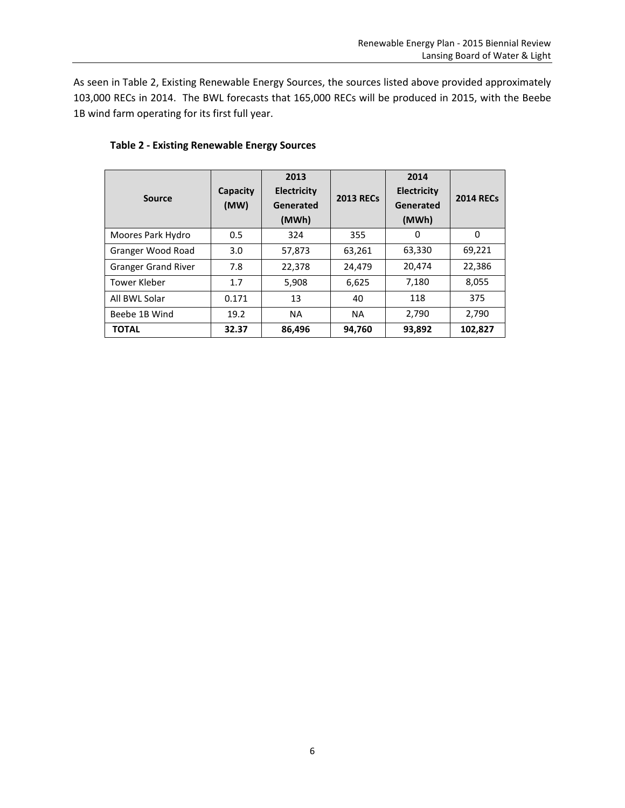As seen in Table 2, Existing Renewable Energy Sources, the sources listed above provided approximately 103,000 RECs in 2014. The BWL forecasts that 165,000 RECs will be produced in 2015, with the Beebe 1B wind farm operating for its first full year.

| <b>Source</b>              | Capacity<br>(MW) | 2013<br>Electricity<br>Generated<br>(MWh) | <b>2013 RECs</b> | 2014<br>Electricity<br>Generated<br>(MWh) | <b>2014 RECs</b> |
|----------------------------|------------------|-------------------------------------------|------------------|-------------------------------------------|------------------|
| Moores Park Hydro          | 0.5              | 324                                       | 355              | 0                                         | $\Omega$         |
| Granger Wood Road          | 3.0              | 57,873                                    | 63,261           | 63,330                                    | 69,221           |
| <b>Granger Grand River</b> | 7.8              | 22,378                                    | 24,479           | 20,474                                    | 22,386           |
| <b>Tower Kleber</b>        | 1.7              | 5,908                                     | 6,625            | 7,180                                     | 8,055            |
| All BWL Solar              | 0.171            | 13                                        | 40               | 118                                       | 375              |
| Beebe 1B Wind              | 19.2             | <b>NA</b>                                 | <b>NA</b>        | 2,790                                     | 2,790            |
| <b>TOTAL</b>               | 32.37            | 86,496                                    | 94,760           | 93,892                                    | 102,827          |

# **Table 2 - Existing Renewable Energy Sources**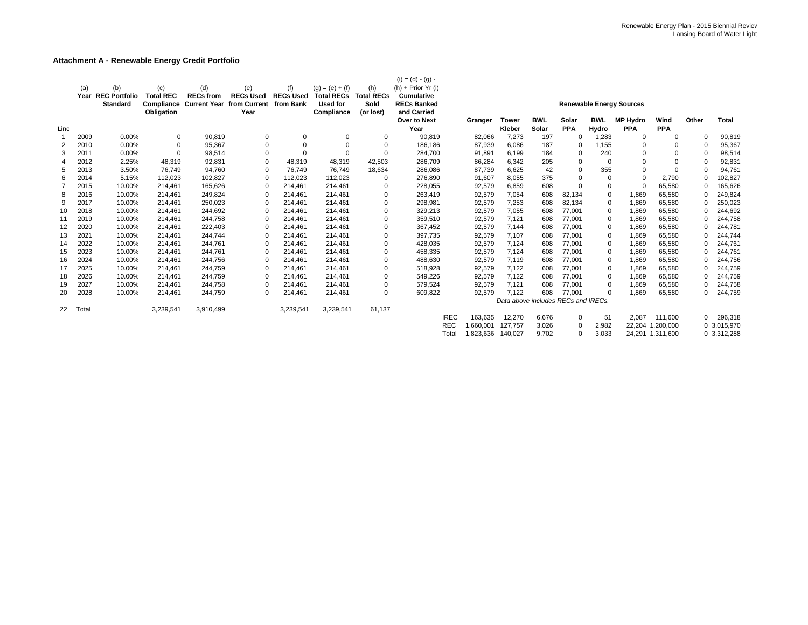#### **Attachment A - Renewable Energy Credit Portfolio**

|      | (a)   | (b)<br>Year REC Portfolio<br><b>Standard</b> | (c)<br><b>Total REC</b><br>Compliance<br>Obligation | (d)<br><b>RECs from</b><br><b>Current Year from Current</b> | (e)<br><b>RECs Used</b><br>Year | (f)<br><b>RECs Used</b><br>from Bank | $(g) = (e) + (f)$<br><b>Total RECs</b><br><b>Used for</b><br>Compliance | (h)<br><b>Total RECs</b><br>Sold<br>(or lost) | $(i) = (d) - (g) -$<br>$(h)$ + Prior Yr (i)<br><b>Cumulative</b><br><b>RECs Banked</b><br>and Carried<br>Over to Next | Granger   | <b>Tower</b>                        | <b>BWL</b> | Solar      | <b>BWL</b>  | <b>Renewable Energy Sources</b><br><b>MP Hydro</b> | Wind             | Other    | <b>Total</b>           |
|------|-------|----------------------------------------------|-----------------------------------------------------|-------------------------------------------------------------|---------------------------------|--------------------------------------|-------------------------------------------------------------------------|-----------------------------------------------|-----------------------------------------------------------------------------------------------------------------------|-----------|-------------------------------------|------------|------------|-------------|----------------------------------------------------|------------------|----------|------------------------|
| Line |       |                                              |                                                     |                                                             |                                 |                                      |                                                                         |                                               | Year                                                                                                                  |           | Kleber                              | Solar      | <b>PPA</b> | Hydro       | <b>PPA</b>                                         | <b>PPA</b>       |          |                        |
| -1   | 2009  | 0.00%                                        | 0                                                   | 90,819                                                      | 0                               | 0                                    | $\Omega$                                                                | 0                                             | 90,819                                                                                                                | 82,066    | 7,273                               | 197        | $\Omega$   | 1,283       | 0                                                  | 0                | $\Omega$ | 90,819                 |
| 2    | 2010  | 0.00%                                        | 0                                                   | 95,367                                                      | $\Omega$                        |                                      |                                                                         | $\Omega$                                      | 186,186                                                                                                               | 87,939    | 6,086                               | 187        | $\Omega$   | 1,155       |                                                    | $\Omega$         | $\Omega$ | 95,367                 |
| 3    | 2011  | 0.00%                                        | $\Omega$                                            | 98,514                                                      | $\Omega$                        |                                      |                                                                         | $\Omega$                                      | 284,700                                                                                                               | 91,891    | 6,199                               | 184        | $\Omega$   | 240         | 0                                                  | 0                | $\Omega$ | 98,514                 |
| 4    | 2012  | 2.25%                                        | 48,319                                              | 92,831                                                      | 0                               | 48,319                               | 48,319                                                                  | 42,503                                        | 286,709                                                                                                               | 86,284    | 6,342                               | 205        | $\Omega$   | 0           | $\Omega$                                           | $\Omega$         | $\Omega$ | 92,831                 |
| 5    | 2013  | 3.50%                                        | 76,749                                              | 94,760                                                      | 0                               | 76.749                               | 76.749                                                                  | 18,634                                        | 286,086                                                                                                               | 87,739    | 6,625                               | 42         | $\Omega$   | 355         | $\Omega$                                           | 0                | $\Omega$ | 94,761                 |
| 6    | 2014  | 5.15%                                        | 112,023                                             | 102,827                                                     |                                 | 112,023                              | 112,023                                                                 | $\Omega$                                      | 276,890                                                                                                               | 91,607    | 8,055                               | 375        | $\Omega$   | $\Omega$    | $\Omega$                                           | 2,790            | $\Omega$ | 102,827                |
|      | 2015  | 10.00%                                       | 214,461                                             | 165,626                                                     |                                 | 214.461                              | 214,461                                                                 | $\Omega$                                      | 228,055                                                                                                               | 92,579    | 6,859                               | 608        | $\Omega$   | 0           |                                                    | 65,580           | $\Omega$ | 165,626                |
| 8    | 2016  | 10.00%                                       | 214,461                                             | 249,824                                                     |                                 | 214.461                              | 214,461                                                                 | $\Omega$                                      | 263,419                                                                                                               | 92,579    | 7,054                               | 608        | 82,134     | 0           | 1,869                                              | 65,580           | $\Omega$ | 249,824                |
| 9    | 2017  | 10.00%                                       | 214,461                                             | 250,023                                                     |                                 | 214,461                              | 214,461                                                                 | $\Omega$                                      | 298,981                                                                                                               | 92,579    | 7,253                               | 608        | 82,134     | 0           | 1,869                                              | 65,580           | $\Omega$ | 250,023                |
| 10   | 2018  | 10.00%                                       | 214,461                                             | 244,692                                                     |                                 | 214,461                              | 214,461                                                                 | $\Omega$                                      | 329,213                                                                                                               | 92,579    | 7,055                               | 608        | 77,001     | 0           | 1,869                                              | 65,580           | $\Omega$ | 244,692                |
| 11   | 2019  | 10.00%                                       | 214,461                                             | 244,758                                                     |                                 | 214.461                              | 214,461                                                                 | $\Omega$                                      | 359,510                                                                                                               | 92,579    | 7,121                               | 608        | 77,001     | $\mathbf 0$ | 1,869                                              | 65,580           | $\Omega$ | 244,758                |
| 12   | 2020  | 10.00%                                       | 214,461                                             | 222,403                                                     |                                 | 214.461                              | 214,461                                                                 | $\Omega$                                      | 367,452                                                                                                               | 92,579    | 7,144                               | 608        | 77,001     | 0           | 1.869                                              | 65,580           | $\Omega$ | 244,781                |
| 13   | 2021  | 10.00%                                       | 214,461                                             | 244,744                                                     |                                 | 214.461                              | 214,461                                                                 | $\Omega$                                      | 397,735                                                                                                               | 92,579    | 7,107                               | 608        | 77,001     | 0           | 1,869                                              | 65,580           | $\Omega$ | 244,744                |
| 14   | 2022  | 10.00%                                       | 214,461                                             | 244,761                                                     |                                 | 214,461                              | 214,461                                                                 | $\mathbf 0$                                   | 428,035                                                                                                               | 92,579    | 7,124                               | 608        | 77,001     | $\mathbf 0$ | 1,869                                              | 65,580           | $\Omega$ | 244,761                |
| 15   | 2023  | 10.00%                                       | 214,461                                             | 244,761                                                     |                                 | 214,461                              | 214,461                                                                 | $\Omega$                                      | 458,335                                                                                                               | 92,579    | 7,124                               | 608        | 77,001     | 0           | 1,869                                              | 65,580           | $\Omega$ | 244,761                |
| 16   | 2024  | 10.00%                                       | 214,461                                             | 244,756                                                     |                                 | 214,461                              | 214,461                                                                 | $\mathbf 0$                                   | 488,630                                                                                                               | 92,579    | 7,119                               | 608        | 77,001     | 0           | 1,869                                              | 65,580           | $\Omega$ | 244,756                |
| 17   | 2025  | 10.00%                                       | 214,461                                             | 244,759                                                     |                                 | 214.461                              | 214,461                                                                 | $\Omega$                                      | 518,928                                                                                                               | 92,579    | 7,122                               | 608        | 77,001     | 0           | 1,869                                              | 65,580           | $\Omega$ | 244,759                |
| 18   | 2026  | 10.00%                                       | 214,461                                             | 244,759                                                     | $\Omega$                        | 214,461                              | 214,461                                                                 | $\Omega$                                      | 549,226                                                                                                               | 92,579    | 7,122                               | 608        | 77,001     | 0           | 1,869                                              | 65,580           | $\Omega$ | 244,759                |
| 19   | 2027  | 10.00%                                       | 214,461                                             | 244,758                                                     |                                 | 214,461                              | 214,461                                                                 | $\Omega$                                      | 579,524                                                                                                               | 92,579    | 7,121                               | 608        | 77,001     | 0           | 1,869                                              | 65,580           | $\Omega$ | 244,758                |
| 20   | 2028  | 10.00%                                       | 214,461                                             | 244,759                                                     |                                 | 214,461                              | 214,461                                                                 | $\Omega$                                      | 609,822                                                                                                               | 92,579    | 7.122                               | 608        | 77,001     | $\mathbf 0$ | 1.869                                              | 65,580           | $\Omega$ | 244,759                |
|      |       |                                              |                                                     |                                                             |                                 |                                      |                                                                         |                                               |                                                                                                                       |           | Data above includes RECs and IRECs. |            |            |             |                                                    |                  |          |                        |
| 22   | Total |                                              | 3,239,541                                           | 3,910,499                                                   |                                 | 3,239,541                            | 3,239,541                                                               | 61,137                                        | <b>IREC</b>                                                                                                           | 163,635   | 12,270                              | 6,676      | $\Omega$   |             | 2,087                                              | 111,600          | $\Omega$ |                        |
|      |       |                                              |                                                     |                                                             |                                 |                                      |                                                                         |                                               | <b>REC</b>                                                                                                            | 1,660,001 | 127.757                             | 3,026      | $\Omega$   | 51<br>2,982 |                                                    | 22.204 1.200.000 |          | 296,318<br>0 3,015,970 |
|      |       |                                              |                                                     |                                                             |                                 |                                      |                                                                         |                                               | Total                                                                                                                 | .823.636  | 140.027                             | 9.702      | 0          | 3.033       |                                                    | 24,291 1,311,600 |          | 0 3,312,288            |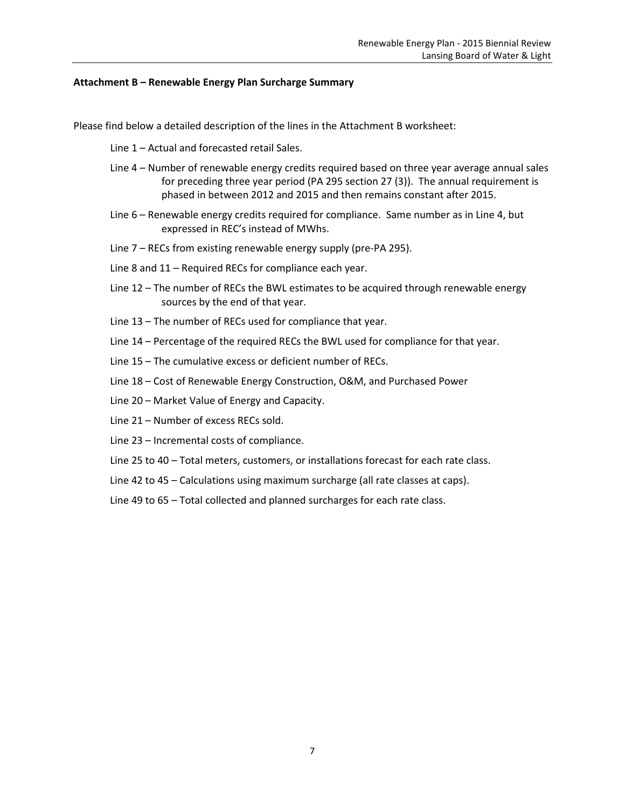#### **Attachment B – Renewable Energy Plan Surcharge Summary**

Please find below a detailed description of the lines in the Attachment B worksheet:

Line 1 – Actual and forecasted retail Sales.

- Line 4 Number of renewable energy credits required based on three year average annual sales for preceding three year period (PA 295 section 27 (3)). The annual requirement is phased in between 2012 and 2015 and then remains constant after 2015.
- Line 6 Renewable energy credits required for compliance. Same number as in Line 4, but expressed in REC's instead of MWhs.
- Line 7 RECs from existing renewable energy supply (pre-PA 295).
- Line 8 and 11 Required RECs for compliance each year.
- Line 12 The number of RECs the BWL estimates to be acquired through renewable energy sources by the end of that year.
- Line 13 The number of RECs used for compliance that year.
- Line 14 Percentage of the required RECs the BWL used for compliance for that year.
- Line 15 The cumulative excess or deficient number of RECs.
- Line 18 Cost of Renewable Energy Construction, O&M, and Purchased Power
- Line 20 Market Value of Energy and Capacity.
- Line 21 Number of excess RECs sold.
- Line 23 Incremental costs of compliance.
- Line 25 to 40 Total meters, customers, or installations forecast for each rate class.
- Line 42 to 45 Calculations using maximum surcharge (all rate classes at caps).
- Line 49 to 65 Total collected and planned surcharges for each rate class.